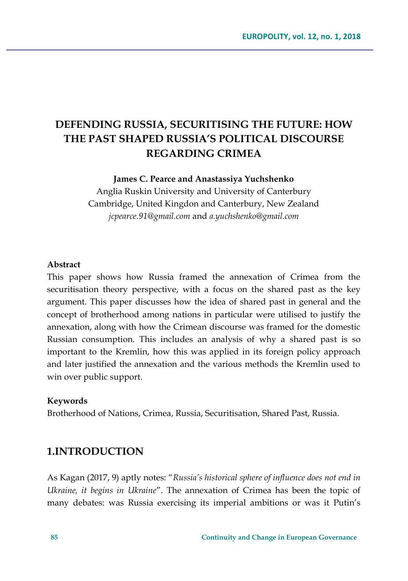# **DEFENDING RUSSIA, SECURITISING THE FUTURE: HOW THE PAST SHAPED RUSSIA'S POLITICAL DISCOURSE REGARDING CRIMEA**

**James C. Pearce and Anastassiya Yuchshenko** 

Anglia Ruskin University and University of Canterbury Cambridge, United Kingdon and Canterbury, New Zealand *jcpearce.91@gmail.com* and *a.yuchshenko@gmail.com*

#### **Abstract**

This paper shows how Russia framed the annexation of Crimea from the securitisation theory perspective, with a focus on the shared past as the key argument. This paper discusses how the idea of shared past in general and the concept of brotherhood among nations in particular were utilised to justify the annexation, along with how the Crimean discourse was framed for the domestic Russian consumption. This includes an analysis of why a shared past is so important to the Kremlin, how this was applied in its foreign policy approach and later justified the annexation and the various methods the Kremlin used to win over public support.

#### **Keywords**

Brotherhood of Nations, Crimea, Russia, Securitisation, Shared Past, Russia.

### **1.INTRODUCTION**

As Kagan (2017, 9) aptly notes: "*Russia's historical sphere of influence does not end in Ukraine, it begins in Ukraine*". The annexation of Crimea has been the topic of many debates: was Russia exercising its imperial ambitions or was it Putin's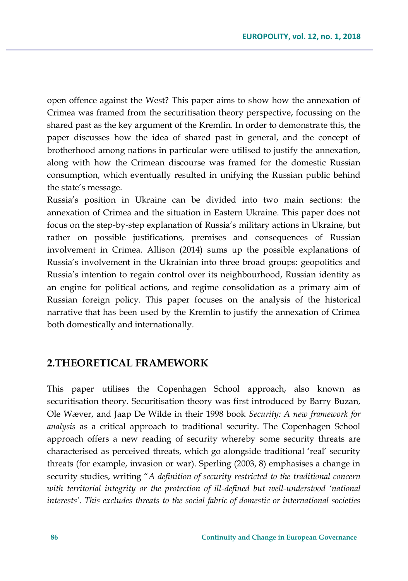open offence against the West? This paper aims to show how the annexation of Crimea was framed from the securitisation theory perspective, focussing on the shared past as the key argument of the Kremlin. In order to demonstrate this, the paper discusses how the idea of shared past in general, and the concept of brotherhood among nations in particular were utilised to justify the annexation, along with how the Crimean discourse was framed for the domestic Russian consumption, which eventually resulted in unifying the Russian public behind the state's message.

Russia's position in Ukraine can be divided into two main sections: the annexation of Crimea and the situation in Eastern Ukraine. This paper does not focus on the step-by-step explanation of Russia's military actions in Ukraine, but rather on possible justifications, premises and consequences of Russian involvement in Crimea. Allison (2014) sums up the possible explanations of Russia's involvement in the Ukrainian into three broad groups: geopolitics and Russia's intention to regain control over its neighbourhood, Russian identity as an engine for political actions, and regime consolidation as a primary aim of Russian foreign policy. This paper focuses on the analysis of the historical narrative that has been used by the Kremlin to justify the annexation of Crimea both domestically and internationally.

## **2.THEORETICAL FRAMEWORK**

This paper utilises the Copenhagen School approach, also known as securitisation theory. Securitisation theory was first introduced by Barry Buzan, Ole Wæver, and Jaap De Wilde in their 1998 book *Security: A new framework for analysis* as a critical approach to traditional security. The Copenhagen School approach offers a new reading of security whereby some security threats are characterised as perceived threats, which go alongside traditional 'real' security threats (for example, invasion or war). Sperling (2003, 8) emphasises a change in security studies, writing "*A definition of security restricted to the traditional concern with territorial integrity or the protection of ill-defined but well-understood 'national interests'. This excludes threats to the social fabric of domestic or international societies*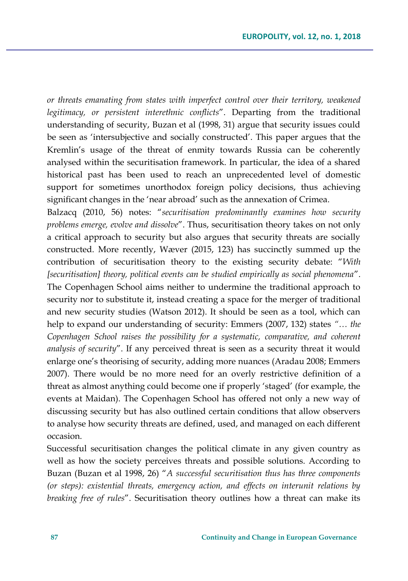*or threats emanating from states with imperfect control over their territory, weakened legitimacy, or persistent interethnic conflicts*". Departing from the traditional understanding of security, Buzan et al (1998, 31) argue that security issues could be seen as 'intersubjective and socially constructed'. This paper argues that the Kremlin's usage of the threat of enmity towards Russia can be coherently analysed within the securitisation framework. In particular, the idea of a shared historical past has been used to reach an unprecedented level of domestic support for sometimes unorthodox foreign policy decisions, thus achieving significant changes in the 'near abroad' such as the annexation of Crimea.

Balzacq (2010, 56) notes: "*securitisation predominantly examines how security problems emerge, evolve and dissolve*". Thus, securitisation theory takes on not only a critical approach to security but also argues that security threats are socially constructed. More recently, Wæver (2015, 123) has succinctly summed up the contribution of securitisation theory to the existing security debate: "*With [securitisation] theory, political events can be studied empirically as social phenomena*". The Copenhagen School aims neither to undermine the traditional approach to security nor to substitute it, instead creating a space for the merger of traditional and new security studies (Watson 2012). It should be seen as a tool, which can help to expand our understanding of security: Emmers (2007, 132) states *"… the Copenhagen School raises the possibility for a systematic, comparative, and coherent analysis of security*". If any perceived threat is seen as a security threat it would enlarge one's theorising of security, adding more nuances (Aradau 2008; Emmers 2007). There would be no more need for an overly restrictive definition of a threat as almost anything could become one if properly 'staged' (for example, the events at Maidan). The Copenhagen School has offered not only a new way of discussing security but has also outlined certain conditions that allow observers to analyse how security threats are defined, used, and managed on each different occasion.

Successful securitisation changes the political climate in any given country as well as how the society perceives threats and possible solutions. According to Buzan (Buzan et al 1998, 26) "*A successful securitisation thus has three components (or steps): existential threats, emergency action, and effects on interunit relations by breaking free of rules*". Securitisation theory outlines how a threat can make its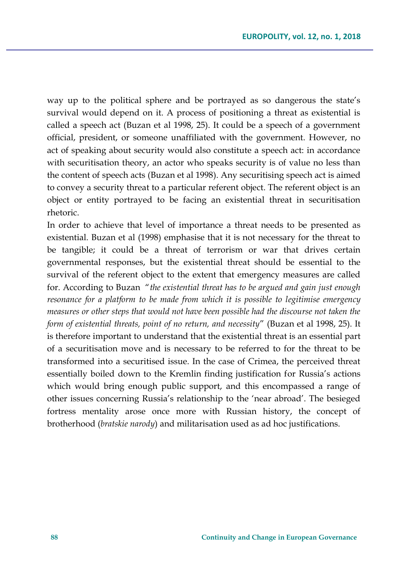way up to the political sphere and be portrayed as so dangerous the state's survival would depend on it. A process of positioning a threat as existential is called a speech act (Buzan et al 1998, 25). It could be a speech of a government official, president, or someone unaffiliated with the government. However, no act of speaking about security would also constitute a speech act: in accordance with securitisation theory, an actor who speaks security is of value no less than the content of speech acts (Buzan et al 1998). Any securitising speech act is aimed to convey a security threat to a particular referent object. The referent object is an object or entity portrayed to be facing an existential threat in securitisation rhetoric.

In order to achieve that level of importance a threat needs to be presented as existential. Buzan et al (1998) emphasise that it is not necessary for the threat to be tangible; it could be a threat of terrorism or war that drives certain governmental responses, but the existential threat should be essential to the survival of the referent object to the extent that emergency measures are called for. According to Buzan "*the existential threat has to be argued and gain just enough resonance for a platform to be made from which it is possible to legitimise emergency measures or other steps that would not have been possible had the discourse not taken the form of existential threats, point of no return, and necessity*" (Buzan et al 1998, 25). It is therefore important to understand that the existential threat is an essential part of a securitisation move and is necessary to be referred to for the threat to be transformed into a securitised issue. In the case of Crimea, the perceived threat essentially boiled down to the Kremlin finding justification for Russia's actions which would bring enough public support, and this encompassed a range of other issues concerning Russia's relationship to the 'near abroad'. The besieged fortress mentality arose once more with Russian history, the concept of brotherhood (*bratskie narody*) and militarisation used as ad hoc justifications.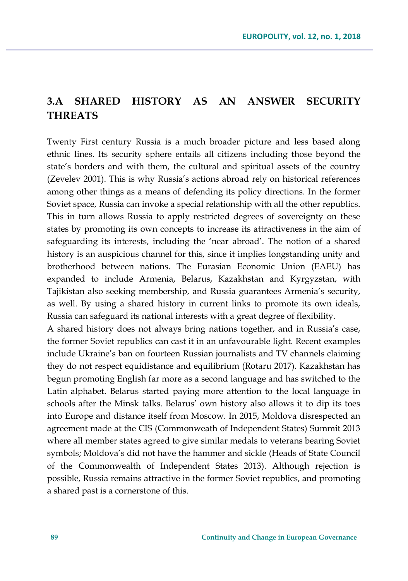# **3.A SHARED HISTORY AS AN ANSWER SECURITY THREATS**

Twenty First century Russia is a much broader picture and less based along ethnic lines. Its security sphere entails all citizens including those beyond the state's borders and with them, the cultural and spiritual assets of the country (Zevelev 2001). This is why Russia's actions abroad rely on historical references among other things as a means of defending its policy directions. In the former Soviet space, Russia can invoke a special relationship with all the other republics. This in turn allows Russia to apply restricted degrees of sovereignty on these states by promoting its own concepts to increase its attractiveness in the aim of safeguarding its interests, including the 'near abroad'. The notion of a shared history is an auspicious channel for this, since it implies longstanding unity and brotherhood between nations. The Eurasian Economic Union (EAEU) has expanded to include Armenia, Belarus, Kazakhstan and Kyrgyzstan, with Tajikistan also seeking membership, and Russia guarantees Armenia's security, as well. By using a shared history in current links to promote its own ideals, Russia can safeguard its national interests with a great degree of flexibility.

A shared history does not always bring nations together, and in Russia's case, the former Soviet republics can cast it in an unfavourable light. Recent examples include Ukraine's ban on fourteen Russian journalists and TV channels claiming they do not respect equidistance and equilibrium (Rotaru 2017). Kazakhstan has begun promoting English far more as a second language and has switched to the Latin alphabet. Belarus started paying more attention to the local language in schools after the Minsk talks. Belarus' own history also allows it to dip its toes into Europe and distance itself from Moscow. In 2015, Moldova disrespected an agreement made at the CIS (Commonweath of Independent States) Summit 2013 where all member states agreed to give similar medals to veterans bearing Soviet symbols; Moldova's did not have the hammer and sickle (Heads of State Council of the Commonwealth of Independent States 2013). Although rejection is possible, Russia remains attractive in the former Soviet republics, and promoting a shared past is a cornerstone of this.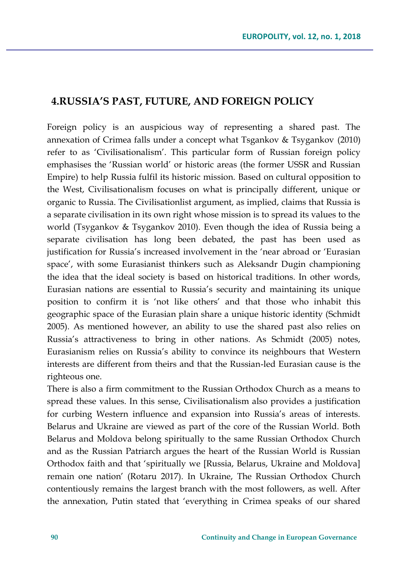#### **4.RUSSIA'S PAST, FUTURE, AND FOREIGN POLICY**

Foreign policy is an auspicious way of representing a shared past. The annexation of Crimea falls under a concept what Tsgankov & Tsygankov (2010) refer to as 'Civilisationalism'. This particular form of Russian foreign policy emphasises the 'Russian world' or historic areas (the former USSR and Russian Empire) to help Russia fulfil its historic mission. Based on cultural opposition to the West, Civilisationalism focuses on what is principally different, unique or organic to Russia. The Civilisationlist argument, as implied, claims that Russia is a separate civilisation in its own right whose mission is to spread its values to the world (Tsygankov & Tsygankov 2010). Even though the idea of Russia being a separate civilisation has long been debated, the past has been used as justification for Russia's increased involvement in the 'near abroad or 'Eurasian space', with some Eurasianist thinkers such as Aleksandr Dugin championing the idea that the ideal society is based on historical traditions. In other words, Eurasian nations are essential to Russia's security and maintaining its unique position to confirm it is 'not like others' and that those who inhabit this geographic space of the Eurasian plain share a unique historic identity (Schmidt 2005). As mentioned however, an ability to use the shared past also relies on Russia's attractiveness to bring in other nations. As Schmidt (2005) notes, Eurasianism relies on Russia's ability to convince its neighbours that Western interests are different from theirs and that the Russian-led Eurasian cause is the righteous one.

There is also a firm commitment to the Russian Orthodox Church as a means to spread these values. In this sense, Civilisationalism also provides a justification for curbing Western influence and expansion into Russia's areas of interests. Belarus and Ukraine are viewed as part of the core of the Russian World. Both Belarus and Moldova belong spiritually to the same Russian Orthodox Church and as the Russian Patriarch argues the heart of the Russian World is Russian Orthodox faith and that 'spiritually we [Russia, Belarus, Ukraine and Moldova] remain one nation' (Rotaru 2017). In Ukraine, The Russian Orthodox Church contentiously remains the largest branch with the most followers, as well. After the annexation, Putin stated that 'everything in Crimea speaks of our shared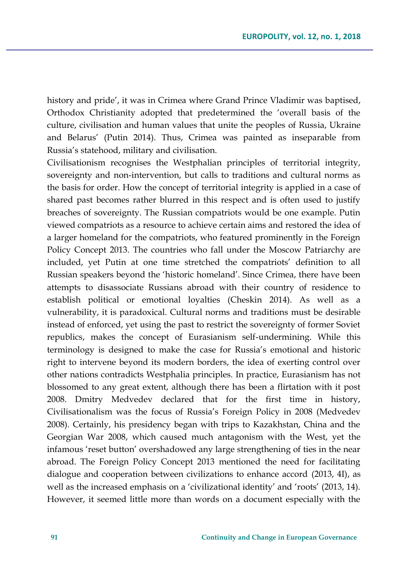history and pride', it was in Crimea where Grand Prince Vladimir was baptised, Orthodox Christianity adopted that predetermined the 'overall basis of the culture, civilisation and human values that unite the peoples of Russia, Ukraine and Belarus' (Putin 2014). Thus, Crimea was painted as inseparable from Russia's statehood, military and civilisation.

Civilisationism recognises the Westphalian principles of territorial integrity, sovereignty and non-intervention, but calls to traditions and cultural norms as the basis for order. How the concept of territorial integrity is applied in a case of shared past becomes rather blurred in this respect and is often used to justify breaches of sovereignty. The Russian compatriots would be one example. Putin viewed compatriots as a resource to achieve certain aims and restored the idea of a larger homeland for the compatriots, who featured prominently in the Foreign Policy Concept 2013. The countries who fall under the Moscow Patriarchy are included, yet Putin at one time stretched the compatriots' definition to all Russian speakers beyond the 'historic homeland'. Since Crimea, there have been attempts to disassociate Russians abroad with their country of residence to establish political or emotional loyalties (Cheskin 2014). As well as a vulnerability, it is paradoxical. Cultural norms and traditions must be desirable instead of enforced, yet using the past to restrict the sovereignty of former Soviet republics, makes the concept of Eurasianism self-undermining. While this terminology is designed to make the case for Russia's emotional and historic right to intervene beyond its modern borders, the idea of exerting control over other nations contradicts Westphalia principles. In practice, Eurasianism has not blossomed to any great extent, although there has been a flirtation with it post 2008. Dmitry Medvedev declared that for the first time in history, Civilisationalism was the focus of Russia's Foreign Policy in 2008 (Medvedev 2008). Certainly, his presidency began with trips to Kazakhstan, China and the Georgian War 2008, which caused much antagonism with the West, yet the infamous 'reset button' overshadowed any large strengthening of ties in the near abroad. The Foreign Policy Concept 2013 mentioned the need for facilitating dialogue and cooperation between civilizations to enhance accord (2013, 4I), as well as the increased emphasis on a 'civilizational identity' and 'roots' (2013, 14). However, it seemed little more than words on a document especially with the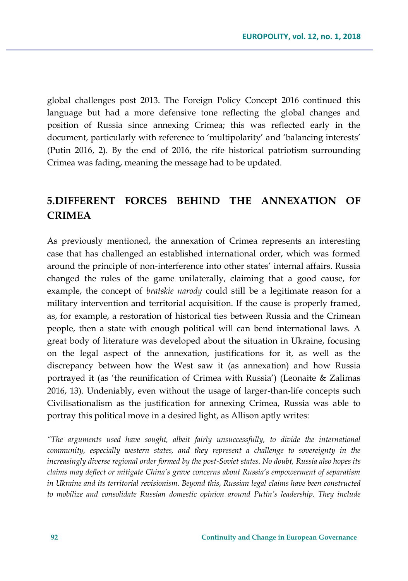global challenges post 2013. The Foreign Policy Concept 2016 continued this language but had a more defensive tone reflecting the global changes and position of Russia since annexing Crimea; this was reflected early in the document, particularly with reference to 'multipolarity' and 'balancing interests' (Putin 2016, 2). By the end of 2016, the rife historical patriotism surrounding Crimea was fading, meaning the message had to be updated.

# **5.DIFFERENT FORCES BEHIND THE ANNEXATION OF CRIMEA**

As previously mentioned, the annexation of Crimea represents an interesting case that has challenged an established international order, which was formed around the principle of non-interference into other states' internal affairs. Russia changed the rules of the game unilaterally, claiming that a good cause, for example, the concept of *bratskie narody* could still be a legitimate reason for a military intervention and territorial acquisition. If the cause is properly framed, as, for example, a restoration of historical ties between Russia and the Crimean people, then a state with enough political will can bend international laws. A great body of literature was developed about the situation in Ukraine, focusing on the legal aspect of the annexation, justifications for it, as well as the discrepancy between how the West saw it (as annexation) and how Russia portrayed it (as 'the reunification of Crimea with Russia') (Leonaite & Zalimas 2016, 13). Undeniably, even without the usage of larger-than-life concepts such Civilisationalism as the justification for annexing Crimea, Russia was able to portray this political move in a desired light, as Allison aptly writes:

*"The arguments used have sought, albeit fairly unsuccessfully, to divide the international community, especially western states, and they represent a challenge to sovereignty in the increasingly diverse regional order formed by the post-Soviet states. No doubt, Russia also hopes its claims may deflect or mitigate China's grave concerns about Russia's empowerment of separatism in Ukraine and its territorial revisionism. Beyond this, Russian legal claims have been constructed to mobilize and consolidate Russian domestic opinion around Putin's leadership. They include*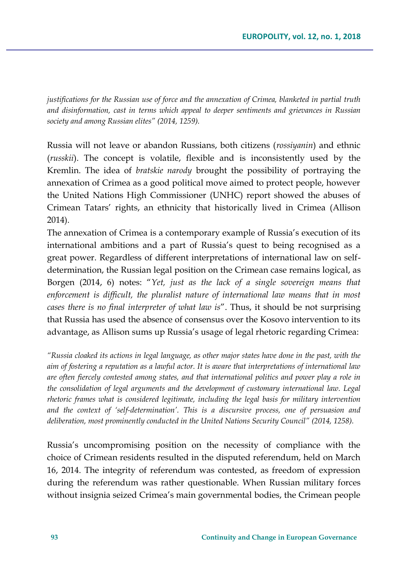*justifications for the Russian use of force and the annexation of Crimea, blanketed in partial truth and disinformation, cast in terms which appeal to deeper sentiments and grievances in Russian society and among Russian elites" (2014, 1259).*

Russia will not leave or abandon Russians, both citizens (*rossiyanin*) and ethnic (*russkii*). The concept is volatile, flexible and is inconsistently used by the Kremlin. The idea of *bratskie narody* brought the possibility of portraying the annexation of Crimea as a good political move aimed to protect people, however the United Nations High Commissioner (UNHC) report showed the abuses of Crimean Tatars' rights, an ethnicity that historically lived in Crimea (Allison 2014).

The annexation of Crimea is a contemporary example of Russia's execution of its international ambitions and a part of Russia's quest to being recognised as a great power. Regardless of different interpretations of international law on selfdetermination, the Russian legal position on the Crimean case remains logical, as Borgen (2014, 6) notes: "*Yet, just as the lack of a single sovereign means that enforcement is difficult, the pluralist nature of international law means that in most cases there is no final interpreter of what law is*". Thus, it should be not surprising that Russia has used the absence of consensus over the Kosovo intervention to its advantage, as Allison sums up Russia's usage of legal rhetoric regarding Crimea:

*"Russia cloaked its actions in legal language, as other major states have done in the past, with the aim of fostering a reputation as a lawful actor. It is aware that interpretations of international law are often fiercely contested among states, and that international politics and power play a role in the consolidation of legal arguments and the development of customary international law. Legal rhetoric frames what is considered legitimate, including the legal basis for military intervention and the context of 'self-determination'. This is a discursive process, one of persuasion and deliberation, most prominently conducted in the United Nations Security Council" (2014, 1258).* 

Russia's uncompromising position on the necessity of compliance with the choice of Crimean residents resulted in the disputed referendum, held on March 16, 2014. The integrity of referendum was contested, as freedom of expression during the referendum was rather questionable. When Russian military forces without insignia seized Crimea's main governmental bodies, the Crimean people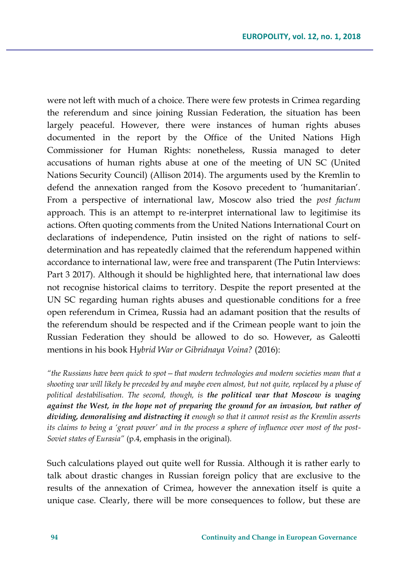were not left with much of a choice. There were few protests in Crimea regarding the referendum and since joining Russian Federation, the situation has been largely peaceful. However, there were instances of human rights abuses documented in the report by the Office of the United Nations High Commissioner for Human Rights: nonetheless, Russia managed to deter accusations of human rights abuse at one of the meeting of UN SC (United Nations Security Council) (Allison 2014). The arguments used by the Kremlin to defend the annexation ranged from the Kosovo precedent to 'humanitarian'. From a perspective of international law, Moscow also tried the *post factum* approach. This is an attempt to re-interpret international law to legitimise its actions. Often quoting comments from the United Nations International Court on declarations of independence, Putin insisted on the right of nations to selfdetermination and has repeatedly claimed that the referendum happened within accordance to international law, were free and transparent (The Putin Interviews: Part 3 2017). Although it should be highlighted here, that international law does not recognise historical claims to territory. Despite the report presented at the UN SC regarding human rights abuses and questionable conditions for a free open referendum in Crimea, Russia had an adamant position that the results of the referendum should be respected and if the Crimean people want to join the Russian Federation they should be allowed to do so. However, as Galeotti mentions in his book H*ybrid War or Gibridnaya Voina?* (2016):

*"the Russians have been quick to spot—that modern technologies and modern societies mean that a shooting war will likely be preceded by and maybe even almost, but not quite, replaced by a phase of political destabilisation. The second, though, is the political war that Moscow is waging against the West, in the hope not of preparing the ground for an invasion, but rather of dividing, demoralising and distracting it enough so that it cannot resist as the Kremlin asserts its claims to being a 'great power' and in the process a sphere of influence over most of the post-Soviet states of Eurasia"* (p.4, emphasis in the original).

Such calculations played out quite well for Russia. Although it is rather early to talk about drastic changes in Russian foreign policy that are exclusive to the results of the annexation of Crimea, however the annexation itself is quite a unique case. Clearly, there will be more consequences to follow, but these are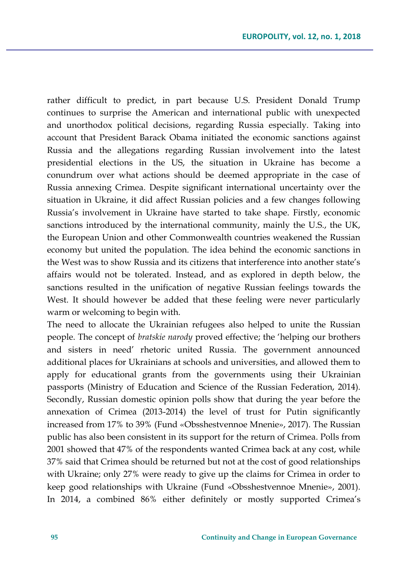rather difficult to predict, in part because U.S. President Donald Trump continues to surprise the American and international public with unexpected and unorthodox political decisions, regarding Russia especially. Taking into account that President Barack Obama initiated the economic sanctions against Russia and the allegations regarding Russian involvement into the latest presidential elections in the US, the situation in Ukraine has become a conundrum over what actions should be deemed appropriate in the case of Russia annexing Crimea. Despite significant international uncertainty over the situation in Ukraine, it did affect Russian policies and a few changes following Russia's involvement in Ukraine have started to take shape. Firstly, economic sanctions introduced by the international community, mainly the U.S., the UK, the European Union and other Commonwealth countries weakened the Russian economy but united the population. The idea behind the economic sanctions in the West was to show Russia and its citizens that interference into another state's affairs would not be tolerated. Instead, and as explored in depth below, the sanctions resulted in the unification of negative Russian feelings towards the West. It should however be added that these feeling were never particularly warm or welcoming to begin with.

The need to allocate the Ukrainian refugees also helped to unite the Russian people. The concept of *bratskie narody* proved effective; the 'helping our brothers and sisters in need' rhetoric united Russia. The government announced additional places for Ukrainians at schools and universities, and allowed them to apply for educational grants from the governments using their Ukrainian passports (Ministry of Education and Science of the Russian Federation, 2014). Secondly, Russian domestic opinion polls show that during the year before the annexation of Crimea (2013-2014) the level of trust for Putin significantly increased from 17% to 39% (Fund «Obsshestvennoe Mnenie», 2017). The Russian public has also been consistent in its support for the return of Crimea. Polls from 2001 showed that 47% of the respondents wanted Crimea back at any cost, while 37% said that Crimea should be returned but not at the cost of good relationships with Ukraine; only 27% were ready to give up the claims for Crimea in order to keep good relationships with Ukraine (Fund «Obsshestvennoe Mnenie», 2001). In 2014, a combined 86% either definitely or mostly supported Crimea's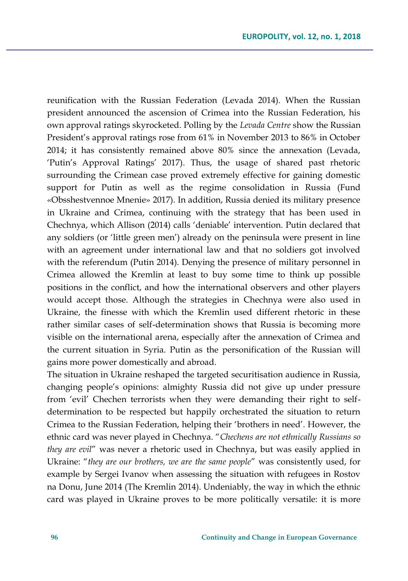reunification with the Russian Federation (Levada 2014). When the Russian president announced the ascension of Crimea into the Russian Federation, his own approval ratings skyrocketed. Polling by the *Levada Centre* show the Russian President's approval ratings rose from 61% in November 2013 to 86% in October 2014; it has consistently remained above 80% since the annexation (Levada, 'Putin's Approval Ratings' 2017). Thus, the usage of shared past rhetoric surrounding the Crimean case proved extremely effective for gaining domestic support for Putin as well as the regime consolidation in Russia (Fund «Obsshestvennoe Mnenie» 2017). In addition, Russia denied its military presence in Ukraine and Crimea, continuing with the strategy that has been used in Chechnya, which Allison (2014) calls 'deniable' intervention. Putin declared that any soldiers (or 'little green men') already on the peninsula were present in line with an agreement under international law and that no soldiers got involved with the referendum (Putin 2014). Denying the presence of military personnel in Crimea allowed the Kremlin at least to buy some time to think up possible positions in the conflict, and how the international observers and other players would accept those. Although the strategies in Chechnya were also used in Ukraine, the finesse with which the Kremlin used different rhetoric in these rather similar cases of self-determination shows that Russia is becoming more visible on the international arena, especially after the annexation of Crimea and the current situation in Syria. Putin as the personification of the Russian will gains more power domestically and abroad.

The situation in Ukraine reshaped the targeted securitisation audience in Russia, changing people's opinions: almighty Russia did not give up under pressure from 'evil' Chechen terrorists when they were demanding their right to selfdetermination to be respected but happily orchestrated the situation to return Crimea to the Russian Federation, helping their 'brothers in need'. However, the ethnic card was never played in Chechnya. "*Chechens are not ethnically Russians so they are evil*" was never a rhetoric used in Chechnya, but was easily applied in Ukraine: "*they are our brothers, we are the same people*" was consistently used, for example by Sergei Ivanov when assessing the situation with refugees in Rostov na Donu, June 2014 (The Kremlin 2014). Undeniably, the way in which the ethnic card was played in Ukraine proves to be more politically versatile: it is more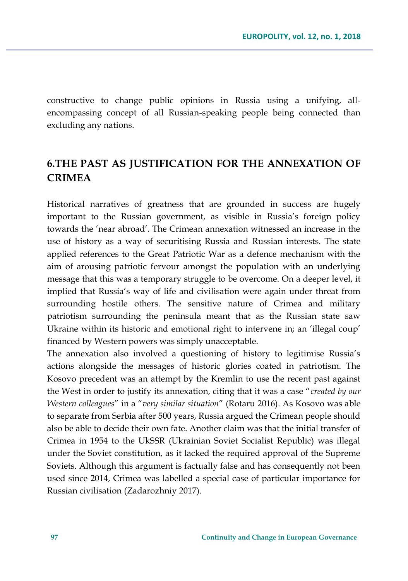constructive to change public opinions in Russia using a unifying, allencompassing concept of all Russian-speaking people being connected than excluding any nations.

# **6.THE PAST AS JUSTIFICATION FOR THE ANNEXATION OF CRIMEA**

Historical narratives of greatness that are grounded in success are hugely important to the Russian government, as visible in Russia's foreign policy towards the 'near abroad'. The Crimean annexation witnessed an increase in the use of history as a way of securitising Russia and Russian interests. The state applied references to the Great Patriotic War as a defence mechanism with the aim of arousing patriotic fervour amongst the population with an underlying message that this was a temporary struggle to be overcome. On a deeper level, it implied that Russia's way of life and civilisation were again under threat from surrounding hostile others. The sensitive nature of Crimea and military patriotism surrounding the peninsula meant that as the Russian state saw Ukraine within its historic and emotional right to intervene in; an 'illegal coup' financed by Western powers was simply unacceptable.

The annexation also involved a questioning of history to legitimise Russia's actions alongside the messages of historic glories coated in patriotism. The Kosovo precedent was an attempt by the Kremlin to use the recent past against the West in order to justify its annexation, citing that it was a case "*created by our Western colleagues*" in a "*very similar situation*" (Rotaru 2016). As Kosovo was able to separate from Serbia after 500 years, Russia argued the Crimean people should also be able to decide their own fate. Another claim was that the initial transfer of Crimea in 1954 to the UkSSR (Ukrainian Soviet Socialist Republic) was illegal under the Soviet constitution, as it lacked the required approval of the Supreme Soviets. Although this argument is factually false and has consequently not been used since 2014, Crimea was labelled a special case of particular importance for Russian civilisation (Zadarozhniy 2017).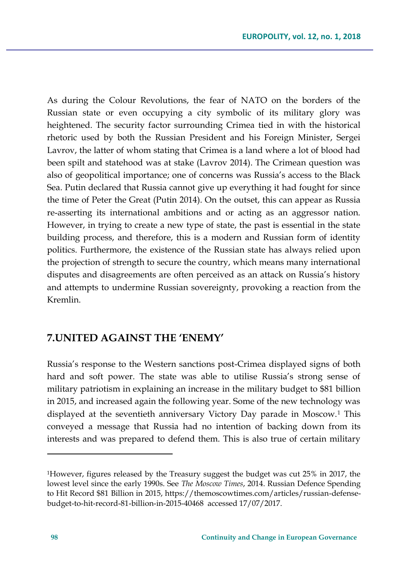As during the Colour Revolutions, the fear of NATO on the borders of the Russian state or even occupying a city symbolic of its military glory was heightened. The security factor surrounding Crimea tied in with the historical rhetoric used by both the Russian President and his Foreign Minister, Sergei Lavrov, the latter of whom stating that Crimea is a land where a lot of blood had been spilt and statehood was at stake (Lavrov 2014). The Crimean question was also of geopolitical importance; one of concerns was Russia's access to the Black Sea. Putin declared that Russia cannot give up everything it had fought for since the time of Peter the Great (Putin 2014). On the outset, this can appear as Russia re-asserting its international ambitions and or acting as an aggressor nation. However, in trying to create a new type of state, the past is essential in the state building process, and therefore, this is a modern and Russian form of identity politics. Furthermore, the existence of the Russian state has always relied upon the projection of strength to secure the country, which means many international disputes and disagreements are often perceived as an attack on Russia's history and attempts to undermine Russian sovereignty, provoking a reaction from the Kremlin.

## **7.UNITED AGAINST THE 'ENEMY'**

Russia's response to the Western sanctions post-Crimea displayed signs of both hard and soft power. The state was able to utilise Russia's strong sense of military patriotism in explaining an increase in the military budget to \$81 billion in 2015, and increased again the following year. Some of the new technology was displayed at the seventieth anniversary Victory Day parade in Moscow.<sup>1</sup> This conveyed a message that Russia had no intention of backing down from its interests and was prepared to defend them. This is also true of certain military

 $\overline{a}$ 

<sup>1</sup>However, figures released by the Treasury suggest the budget was cut 25% in 2017, the lowest level since the early 1990s. See *The Moscow Times*, 2014. Russian Defence Spending to Hit Record \$81 Billion in 2015, https://themoscowtimes.com/articles/russian-defensebudget-to-hit-record-81-billion-in-2015-40468 accessed 17/07/2017.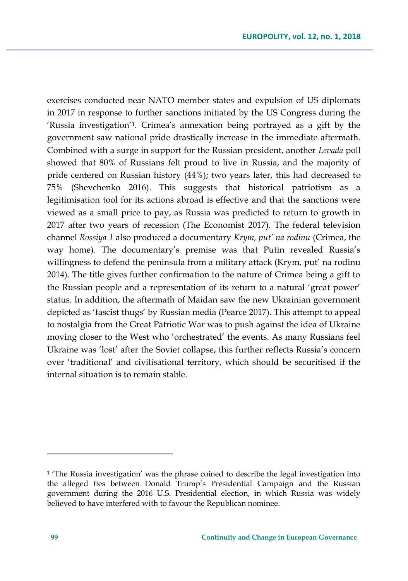exercises conducted near NATO member states and expulsion of US diplomats in 2017 in response to further sanctions initiated by the US Congress during the 'Russia investigation'<sup>1</sup> . Crimea's annexation being portrayed as a gift by the government saw national pride drastically increase in the immediate aftermath. Combined with a surge in support for the Russian president, another *Levada* poll showed that 80% of Russians felt proud to live in Russia, and the majority of pride centered on Russian history (44%); two years later, this had decreased to 75% (Shevchenko 2016). This suggests that historical patriotism as a legitimisation tool for its actions abroad is effective and that the sanctions were viewed as a small price to pay, as Russia was predicted to return to growth in 2017 after two years of recession (The Economist 2017). The federal television channel *Rossiya 1* also produced a documentary *Krym, put' na rodinu* (Crimea, the way home). The documentary's premise was that Putin revealed Russia's willingness to defend the peninsula from a military attack (Krym, put' na rodinu 2014). The title gives further confirmation to the nature of Crimea being a gift to the Russian people and a representation of its return to a natural 'great power' status. In addition, the aftermath of Maidan saw the new Ukrainian government depicted as 'fascist thugs' by Russian media (Pearce 2017). This attempt to appeal to nostalgia from the Great Patriotic War was to push against the idea of Ukraine moving closer to the West who 'orchestrated' the events. As many Russians feel Ukraine was 'lost' after the Soviet collapse, this further reflects Russia's concern over 'traditional' and civilisational territory, which should be securitised if the internal situation is to remain stable.

 $\overline{a}$ 

 $<sup>1</sup>$  The Russia investigation' was the phrase coined to describe the legal investigation into</sup> the alleged ties between Donald Trump's Presidential Campaign and the Russian government during the 2016 U.S. Presidential election, in which Russia was widely believed to have interfered with to favour the Republican nominee.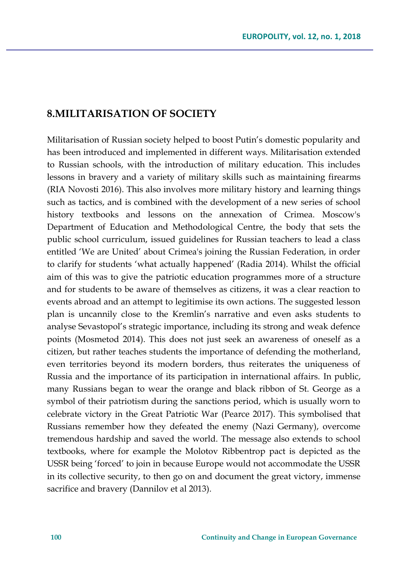## **8.MILITARISATION OF SOCIETY**

Militarisation of Russian society helped to boost Putin's domestic popularity and has been introduced and implemented in different ways. Militarisation extended to Russian schools, with the introduction of military education. This includes lessons in bravery and a variety of military skills such as maintaining firearms (RIA Novosti 2016). This also involves more military history and learning things such as tactics, and is combined with the development of a new series of school history textbooks and lessons on the annexation of Crimea. Moscow's Department of Education and Methodological Centre, the body that sets the public school curriculum, issued guidelines for Russian teachers to lead a class entitled 'We are United' about Crimea's joining the Russian Federation, in order to clarify for students 'what actually happened' (Radia 2014). Whilst the official aim of this was to give the patriotic education programmes more of a structure and for students to be aware of themselves as citizens, it was a clear reaction to events abroad and an attempt to legitimise its own actions. The suggested lesson plan is uncannily close to the Kremlin's narrative and even asks students to analyse Sevastopol's strategic importance, including its strong and weak defence points (Mosmetod 2014). This does not just seek an awareness of oneself as a citizen, but rather teaches students the importance of defending the motherland, even territories beyond its modern borders, thus reiterates the uniqueness of Russia and the importance of its participation in international affairs. In public, many Russians began to wear the orange and black ribbon of St. George as a symbol of their patriotism during the sanctions period, which is usually worn to celebrate victory in the Great Patriotic War (Pearce 2017). This symbolised that Russians remember how they defeated the enemy (Nazi Germany), overcome tremendous hardship and saved the world. The message also extends to school textbooks, where for example the Molotov Ribbentrop pact is depicted as the USSR being 'forced' to join in because Europe would not accommodate the USSR in its collective security, to then go on and document the great victory, immense sacrifice and bravery (Dannilov et al 2013).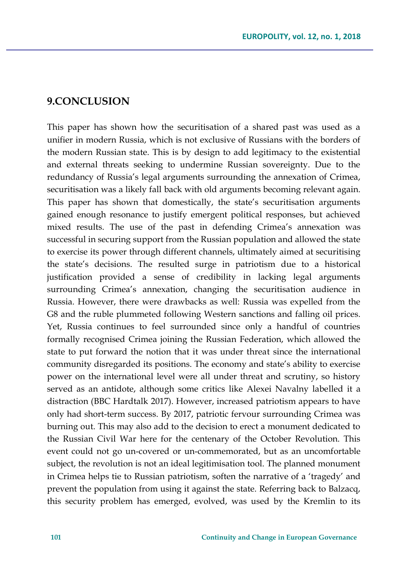#### **9.CONCLUSION**

This paper has shown how the securitisation of a shared past was used as a unifier in modern Russia, which is not exclusive of Russians with the borders of the modern Russian state. This is by design to add legitimacy to the existential and external threats seeking to undermine Russian sovereignty. Due to the redundancy of Russia's legal arguments surrounding the annexation of Crimea, securitisation was a likely fall back with old arguments becoming relevant again. This paper has shown that domestically, the state's securitisation arguments gained enough resonance to justify emergent political responses, but achieved mixed results. The use of the past in defending Crimea's annexation was successful in securing support from the Russian population and allowed the state to exercise its power through different channels, ultimately aimed at securitising the state's decisions. The resulted surge in patriotism due to a historical justification provided a sense of credibility in lacking legal arguments surrounding Crimea's annexation, changing the securitisation audience in Russia. However, there were drawbacks as well: Russia was expelled from the G8 and the ruble plummeted following Western sanctions and falling oil prices. Yet, Russia continues to feel surrounded since only a handful of countries formally recognised Crimea joining the Russian Federation, which allowed the state to put forward the notion that it was under threat since the international community disregarded its positions. The economy and state's ability to exercise power on the international level were all under threat and scrutiny, so history served as an antidote, although some critics like Alexei Navalny labelled it a distraction (BBC Hardtalk 2017). However, increased patriotism appears to have only had short-term success. By 2017, patriotic fervour surrounding Crimea was burning out. This may also add to the decision to erect a monument dedicated to the Russian Civil War here for the centenary of the October Revolution. This event could not go un-covered or un-commemorated, but as an uncomfortable subject, the revolution is not an ideal legitimisation tool. The planned monument in Crimea helps tie to Russian patriotism, soften the narrative of a 'tragedy' and prevent the population from using it against the state. Referring back to Balzacq, this security problem has emerged, evolved, was used by the Kremlin to its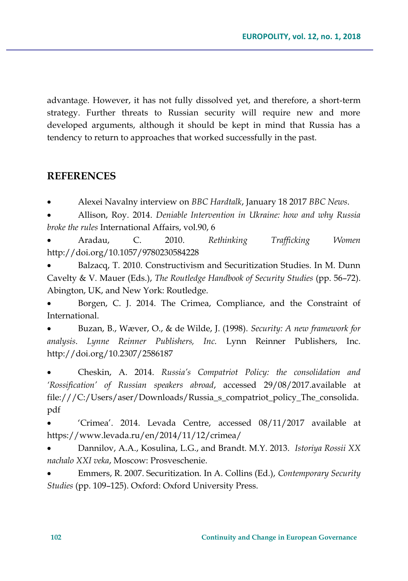advantage. However, it has not fully dissolved yet, and therefore, a short-term strategy. Further threats to Russian security will require new and more developed arguments, although it should be kept in mind that Russia has a tendency to return to approaches that worked successfully in the past.

### **REFERENCES**

Alexei Navalny interview on *BBC Hardtalk*, January 18 2017 *BBC News*.

 Allison, Roy. 2014. *Deniable Intervention in Ukraine: how and why Russia broke the rules* International Affairs, vol.90, 6

 Aradau, C. 2010. *Rethinking Trafficking Women*  http://doi.org/10.1057/9780230584228

 Balzacq, T. 2010. Constructivism and Securitization Studies. In M. Dunn Cavelty & V. Mauer (Eds.), *The Routledge Handbook of Security Studies* (pp. 56–72). Abington, UK, and New York: Routledge.

 Borgen, C. J. 2014. The Crimea, Compliance, and the Constraint of International.

 Buzan, B., Wæver, O., & de Wilde, J. (1998). *Security: A new framework for analysis*. *Lynne Reinner Publishers, Inc.* Lynn Reinner Publishers, Inc. http://doi.org/10.2307/2586187

 Cheskin, A. 2014. *Russia's Compatriot Policy: the consolidation and 'Rossification' of Russian speakers abroad*, accessed 29/08/2017.available at file:///C:/Users/aser/Downloads/Russia\_s\_compatriot\_policy\_The\_consolida. pdf

 'Crimea'. 2014. Levada Centre, accessed 08/11/2017 available at https://www.levada.ru/en/2014/11/12/crimea/

 Dannilov, A.A., Kosulina, L.G., and Brandt. M.Y. 2013. *Istoriya Rossii XX nachalo XXI veka*, Moscow: Prosveschenie.

 Emmers, R. 2007. Securitization. In A. Collins (Ed.), *Contemporary Security Studies* (pp. 109–125). Oxford: Oxford University Press.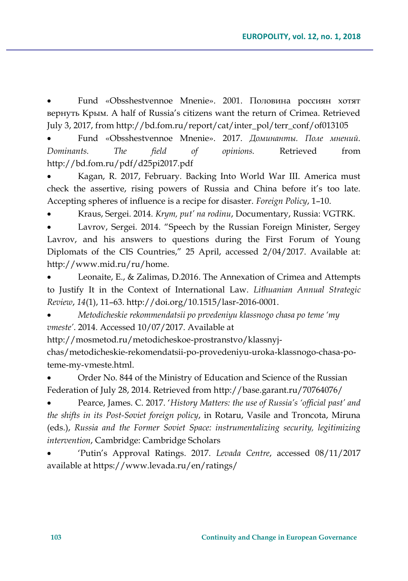Fund «Obsshestvennoe Mnenie». 2001. Половина россиян хотят вернуть Крым. A half of Russia's citizens want the return of Crimea. Retrieved July 3, 2017, from http://bd.fom.ru/report/cat/inter\_pol/terr\_conf/of013105

 Fund «Obsshestvennoe Mnenie». 2017. *Доминанты. Поле мнений. Dominants. The field of opinions.* Retrieved from http://bd.fom.ru/pdf/d25pi2017.pdf

 Kagan, R. 2017, February. Backing Into World War III. America must check the assertive, rising powers of Russia and China before it's too late. Accepting spheres of influence is a recipe for disaster. *Foreign Policy*, 1–10.

Kraus, Sergei. 2014. *Krym, put' na rodinu*, Documentary, Russia: VGTRK.

 Lavrov, Sergei. 2014. "Speech by the Russian Foreign Minister, Sergey Lavrov, and his answers to questions during the First Forum of Young Diplomats of the CIS Countries," 25 April, accessed 2/04/2017. Available at: http://www.mid.ru/ru/home.

 Leonaite, E., & Zalimas, D.2016. The Annexation of Crimea and Attempts to Justify It in the Context of International Law. *Lithuanian Annual Strategic Review*, *14*(1), 11–63. http://doi.org/10.1515/lasr-2016-0001.

 *Metodicheskie rekommendatsii po prvedeniyu klassnogo chasa po teme 'my vmeste'*. 2014. Accessed 10/07/2017. Available at

http://mosmetod.ru/metodicheskoe-prostranstvo/klassnyj-

chas/metodicheskie-rekomendatsii-po-provedeniyu-uroka-klassnogo-chasa-poteme-my-vmeste.html.

 Order No. 844 of the Ministry of Education and Science of the Russian Federation of July 28, 2014. Retrieved from http://base.garant.ru/70764076/

 Pearce, James. C. 2017. '*History Matters: the use of Russia's 'official past' and the shifts in its Post-Soviet foreign policy*, in Rotaru, Vasile and Troncota, Miruna (eds.), *Russia and the Former Soviet Space: instrumentalizing security, legitimizing intervention*, Cambridge: Cambridge Scholars

 'Putin's Approval Ratings. 2017. *Levada Centre*, accessed 08/11/2017 available at https://www.levada.ru/en/ratings/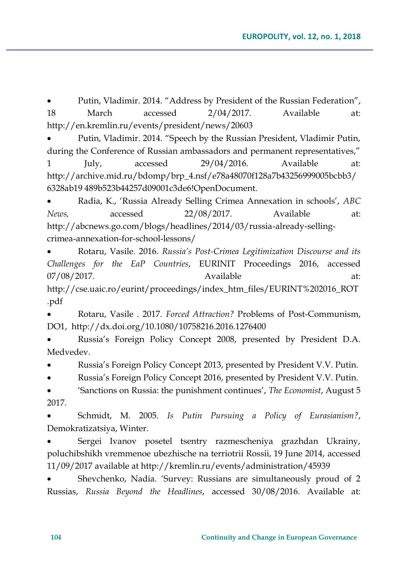Putin, Vladimir. 2014. "Address by President of the Russian Federation", 18 March accessed 2/04/2017. Available at: http://en.kremlin.ru/events/president/news/20603

 Putin, Vladimir. 2014. "Speech by the Russian President, Vladimir Putin, during the Conference of Russian ambassadors and permanent representatives," 1 July, accessed 29/04/2016. Available at: http://archive.mid.ru/bdomp/brp\_4.nsf/e78a48070f128a7b43256999005bcbb3/ 6328ab19 489b523b44257d09001c3de6!OpenDocument.

 Radia, K., 'Russia Already Selling Crimea Annexation in schools', *ABC News,* accessed 22/08/2017. Available at: http://abcnews.go.com/blogs/headlines/2014/03/russia-already-sellingcrimea-annexation-for-school-lessons/

 Rotaru, Vasile. 2016. *Russia's Post-Crimea Legitimization Discourse and its Challenges for the EaP Countries*, EURINIT Proceedings 2016, accessed 07/08/2017. Available at: http://cse.uaic.ro/eurint/proceedings/index\_htm\_files/EURINT%202016\_ROT .pdf

 Rotaru, Vasile . 2017. *Forced Attraction?* Problems of Post-Communism, DO1, http://dx.doi.org/10.1080/10758216.2016.1276400

 Russia's Foreign Policy Concept 2008, presented by President D.A. Medvedev.

Russia's Foreign Policy Concept 2013, presented by President V.V. Putin.

Russia's Foreign Policy Concept 2016, presented by President V.V. Putin.

 'Sanctions on Russia: the punishment continues', *The Economist*, August 5 2017.

 Schmidt, M. 2005. *Is Putin Pursuing a Policy of Eurasianism?*, Demokratizatsiya, Winter.

 Sergei Ivanov posetel tsentry razmescheniya grazhdan Ukrainy, poluchibshikh vremmenoe ubezhische na terriotrii Rossii, 19 June 2014, accessed 11/09/2017 available at http://kremlin.ru/events/administration/45939

 Shevchenko, Nadia. 'Survey: Russians are simultaneously proud of 2 Russias, *Russia Beyond the Headlines*, accessed 30/08/2016. Available at: